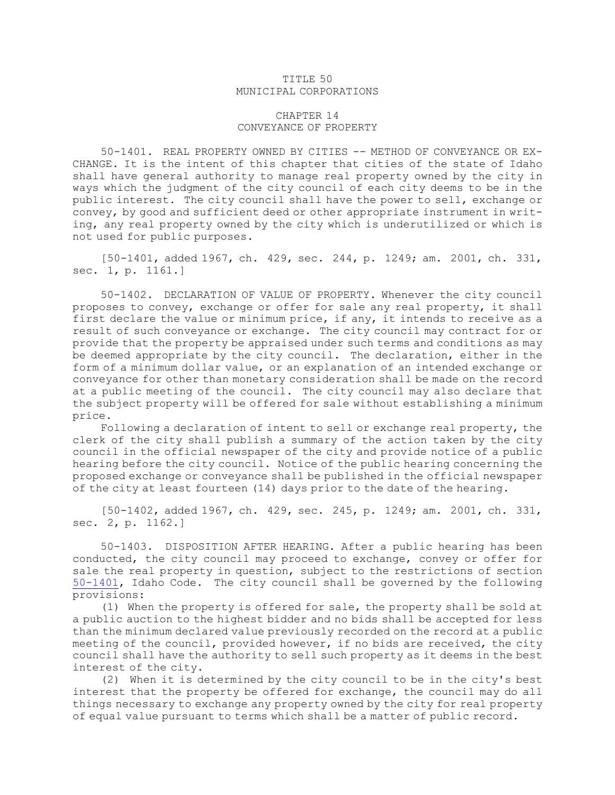## TITLE 50 MUNICIPAL CORPORATIONS

## CHAPTER 14 CONVEYANCE OF PROPERTY

50-1401. REAL PROPERTY OWNED BY CITIES -- METHOD OF CONVEYANCE OR EX-CHANGE. It is the intent of this chapter that cities of the state of Idaho shall have general authority to manage real property owned by the city in ways which the judgment of the city council of each city deems to be in the public interest. The city council shall have the power to sell, exchange or convey, by good and sufficient deed or other appropriate instrument in writing, any real property owned by the city which is underutilized or which is not used for public purposes.

[50-1401, added 1967, ch. 429, sec. 244, p. 1249; am. 2001, ch. 331, sec. 1, p. 1161.]

50-1402. DECLARATION OF VALUE OF PROPERTY. Whenever the city council proposes to convey, exchange or offer for sale any real property, it shall first declare the value or minimum price, if any, it intends to receive as <sup>a</sup> result of such conveyance or exchange. The city council may contract for or provide that the property be appraised under such terms and conditions as may be deemed appropriate by the city council. The declaration, either in the form of <sup>a</sup> minimum dollar value, or an explanation of an intended exchange or conveyance for other than monetary consideration shall be made on the record at <sup>a</sup> public meeting of the council. The city council may also declare that the subject property will be offered for sale without establishing <sup>a</sup> minimum price.

Following <sup>a</sup> declaration of intent to sell or exchange real property, the clerk of the city shall publish <sup>a</sup> summary of the action taken by the city council in the official newspaper of the city and provide notice of <sup>a</sup> public hearing before the city council. Notice of the public hearing concerning the proposed exchange or conveyance shall be published in the official newspaper of the city at least fourteen (14) days prior to the date of the hearing.

[50-1402, added 1967, ch. 429, sec. 245, p. 1249; am. 2001, ch. 331, sec. 2, p. 1162.]

50-1403. DISPOSITION AFTER HEARING. After <sup>a</sup> public hearing has been conducted, the city council may proceed to exchange, convey or offer for sale the real property in question, subject to the restrictions of section [50-1401](https://legislature.idaho.gov/statutesrules/idstat/Title50/T50CH14/SECT50-1401), Idaho Code. The city council shall be governed by the following provisions:

(1) When the property is offered for sale, the property shall be sold at <sup>a</sup> public auction to the highest bidder and no bids shall be accepted for less than the minimum declared value previously recorded on the record at <sup>a</sup> public meeting of the council, provided however, if no bids are received, the city council shall have the authority to sell such property as it deems in the best interest of the city.

(2) When it is determined by the city council to be in the city's best interest that the property be offered for exchange, the council may do all things necessary to exchange any property owned by the city for real property of equal value pursuant to terms which shall be <sup>a</sup> matter of public record.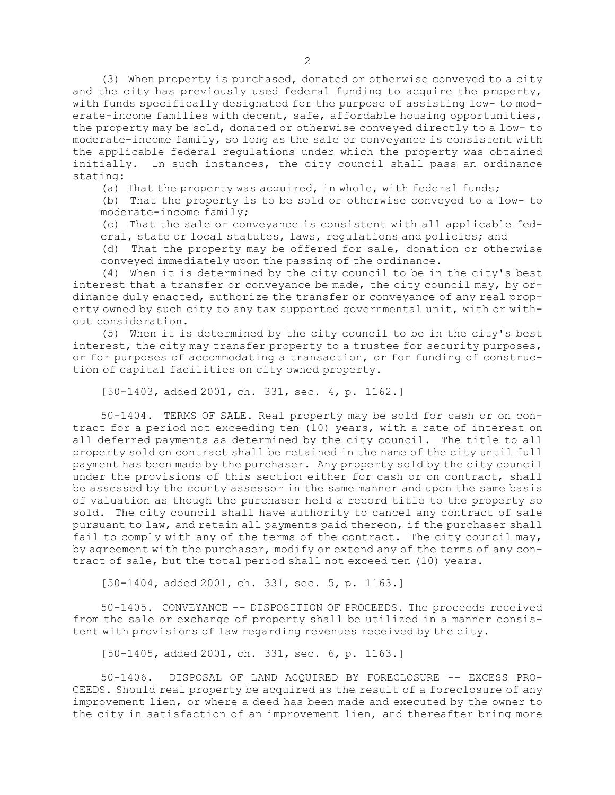(3) When property is purchased, donated or otherwise conveyed to <sup>a</sup> city and the city has previously used federal funding to acquire the property, with funds specifically designated for the purpose of assisting low- to moderate-income families with decent, safe, affordable housing opportunities, the property may be sold, donated or otherwise conveyed directly to <sup>a</sup> low- to moderate-income family, so long as the sale or conveyance is consistent with the applicable federal regulations under which the property was obtained initially. In such instances, the city council shall pass an ordinance stating:

(a) That the property was acquired, in whole, with federal funds;

(b) That the property is to be sold or otherwise conveyed to <sup>a</sup> low- to moderate-income family;

(c) That the sale or conveyance is consistent with all applicable federal, state or local statutes, laws, regulations and policies; and

(d) That the property may be offered for sale, donation or otherwise conveyed immediately upon the passing of the ordinance.

(4) When it is determined by the city council to be in the city's best interest that <sup>a</sup> transfer or conveyance be made, the city council may, by ordinance duly enacted, authorize the transfer or conveyance of any real property owned by such city to any tax supported governmental unit, with or without consideration.

(5) When it is determined by the city council to be in the city's best interest, the city may transfer property to <sup>a</sup> trustee for security purposes, or for purposes of accommodating <sup>a</sup> transaction, or for funding of construction of capital facilities on city owned property.

[50-1403, added 2001, ch. 331, sec. 4, p. 1162.]

50-1404. TERMS OF SALE. Real property may be sold for cash or on contract for <sup>a</sup> period not exceeding ten (10) years, with <sup>a</sup> rate of interest on all deferred payments as determined by the city council. The title to all property sold on contract shall be retained in the name of the city until full payment has been made by the purchaser. Any property sold by the city council under the provisions of this section either for cash or on contract, shall be assessed by the county assessor in the same manner and upon the same basis of valuation as though the purchaser held <sup>a</sup> record title to the property so sold. The city council shall have authority to cancel any contract of sale pursuant to law, and retain all payments paid thereon, if the purchaser shall fail to comply with any of the terms of the contract. The city council may, by agreement with the purchaser, modify or extend any of the terms of any contract of sale, but the total period shall not exceed ten (10) years.

[50-1404, added 2001, ch. 331, sec. 5, p. 1163.]

50-1405. CONVEYANCE -- DISPOSITION OF PROCEEDS. The proceeds received from the sale or exchange of property shall be utilized in <sup>a</sup> manner consistent with provisions of law regarding revenues received by the city.

[50-1405, added 2001, ch. 331, sec. 6, p. 1163.]

50-1406. DISPOSAL OF LAND ACQUIRED BY FORECLOSURE -- EXCESS PRO-CEEDS. Should real property be acquired as the result of <sup>a</sup> foreclosure of any improvement lien, or where <sup>a</sup> deed has been made and executed by the owner to the city in satisfaction of an improvement lien, and thereafter bring more